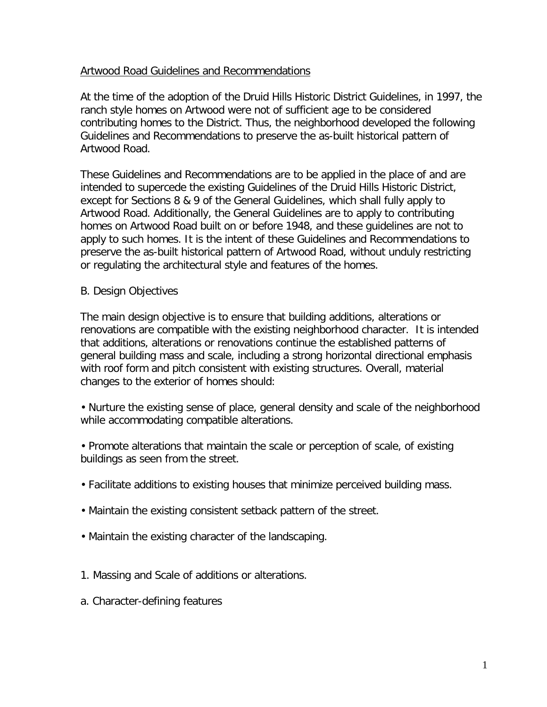#### Artwood Road Guidelines and Recommendations

At the time of the adoption of the Druid Hills Historic District Guidelines, in 1997, the ranch style homes on Artwood were not of sufficient age to be considered contributing homes to the District. Thus, the neighborhood developed the following Guidelines and Recommendations to preserve the as-built historical pattern of Artwood Road.

These Guidelines and Recommendations are to be applied in the place of and are intended to supercede the existing Guidelines of the Druid Hills Historic District, except for Sections 8 & 9 of the General Guidelines, which shall fully apply to Artwood Road. Additionally, the General Guidelines are to apply to contributing homes on Artwood Road built on or before 1948, and these guidelines are not to apply to such homes. It is the intent of these Guidelines and Recommendations to preserve the as-built historical pattern of Artwood Road, without unduly restricting or regulating the architectural style and features of the homes.

#### B. Design Objectives

The main design objective is to ensure that building additions, alterations or renovations are compatible with the existing neighborhood character. It is intended that additions, alterations or renovations continue the established patterns of general building mass and scale, including a strong horizontal directional emphasis with roof form and pitch consistent with existing structures. Overall, material changes to the exterior of homes should:

• Nurture the existing sense of place, general density and scale of the neighborhood while accommodating compatible alterations.

• Promote alterations that maintain the scale or perception of scale, of existing buildings as seen from the street.

- Facilitate additions to existing houses that minimize perceived building mass.
- Maintain the existing consistent setback pattern of the street.
- Maintain the existing character of the landscaping.
- 1. Massing and Scale of additions or alterations.
- a. Character-defining features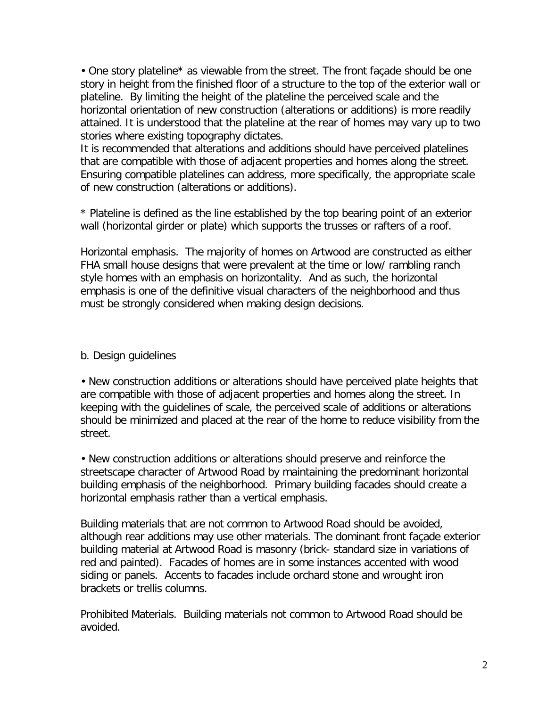• One story plateline\* as viewable from the street. The front façade should be one story in height from the finished floor of a structure to the top of the exterior wall or plateline. By limiting the height of the plateline the perceived scale and the horizontal orientation of new construction (alterations or additions) is more readily attained. It is understood that the plateline at the rear of homes may vary up to two stories where existing topography dictates.

It is recommended that alterations and additions should have perceived platelines that are compatible with those of adjacent properties and homes along the street. Ensuring compatible platelines can address, more specifically, the appropriate scale of new construction (alterations or additions).

\* Plateline is defined as the line established by the top bearing point of an exterior wall (horizontal girder or plate) which supports the trusses or rafters of a roof.

Horizontal emphasis. The majority of homes on Artwood are constructed as either FHA small house designs that were prevalent at the time or low/ rambling ranch style homes with an emphasis on horizontality. And as such, the horizontal emphasis is one of the definitive visual characters of the neighborhood and thus must be strongly considered when making design decisions.

# b. Design guidelines

• New construction additions or alterations should have perceived plate heights that are compatible with those of adjacent properties and homes along the street. In keeping with the guidelines of scale, the perceived scale of additions or alterations should be minimized and placed at the rear of the home to reduce visibility from the street.

• New construction additions or alterations should preserve and reinforce the streetscape character of Artwood Road by maintaining the predominant horizontal building emphasis of the neighborhood. Primary building facades should create a horizontal emphasis rather than a vertical emphasis.

Building materials that are not common to Artwood Road should be avoided, although rear additions may use other materials. The dominant front façade exterior building material at Artwood Road is masonry (brick- standard size in variations of red and painted). Facades of homes are in some instances accented with wood siding or panels. Accents to facades include orchard stone and wrought iron brackets or trellis columns.

Prohibited Materials. Building materials not common to Artwood Road should be avoided.